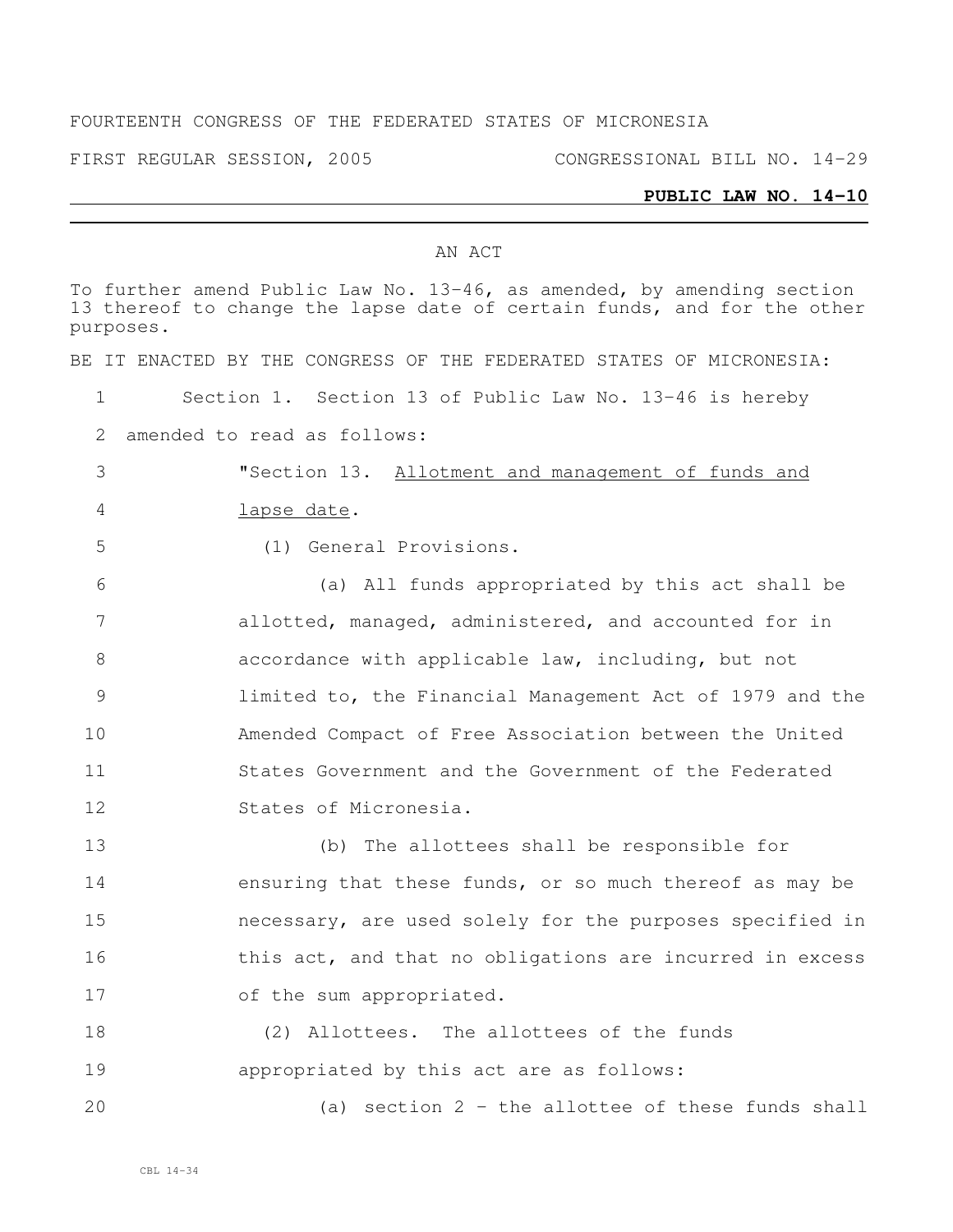### FOURTEENTH CONGRESS OF THE FEDERATED STATES OF MICRONESIA

FIRST REGULAR SESSION, 2005 CONGRESSIONAL BILL NO. 14-29

### **PUBLIC LAW NO. 14-10**

#### AN ACT

To further amend Public Law No. 13-46, as amended, by amending section thereof to change the lapse date of certain funds, and for the other purposes. BE IT ENACTED BY THE CONGRESS OF THE FEDERATED STATES OF MICRONESIA: Section 1. Section 13 of Public Law No. 13-46 is hereby amended to read as follows: "Section 13. Allotment and management of funds and lapse date. (1) General Provisions. (a) All funds appropriated by this act shall be allotted, managed, administered, and accounted for in accordance with applicable law, including, but not limited to, the Financial Management Act of 1979 and the Amended Compact of Free Association between the United States Government and the Government of the Federated States of Micronesia. (b) The allottees shall be responsible for ensuring that these funds, or so much thereof as may be necessary, are used solely for the purposes specified in 16 this act, and that no obligations are incurred in excess 17 of the sum appropriated. (2) Allottees. The allottees of the funds appropriated by this act are as follows: (a) section 2 - the allottee of these funds shall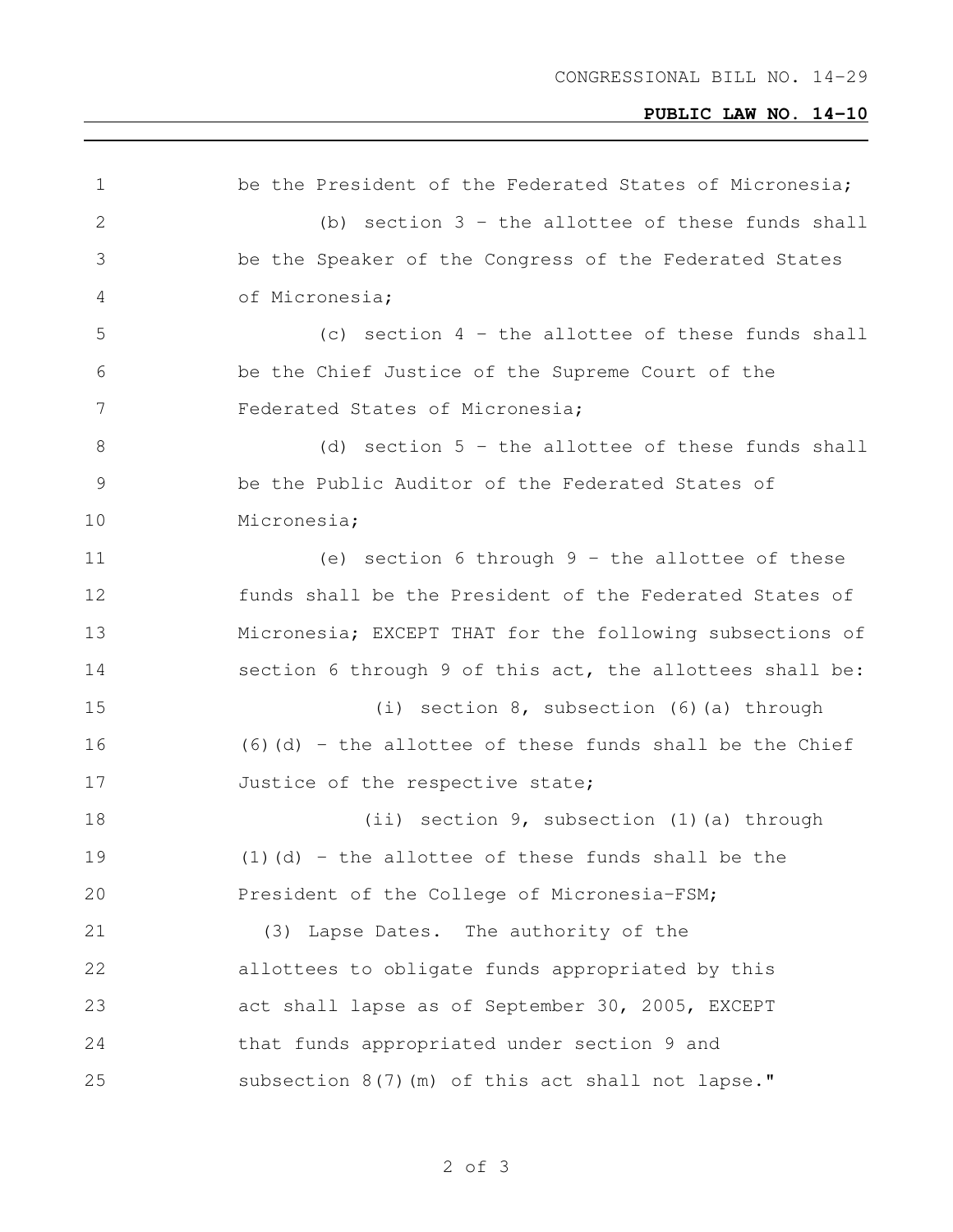# **PUBLIC LAW NO. 14-10**

| $\mathbf 1$     | be the President of the Federated States of Micronesia;    |
|-----------------|------------------------------------------------------------|
| 2               | (b) section $3$ - the allottee of these funds shall        |
| 3               | be the Speaker of the Congress of the Federated States     |
| 4               | of Micronesia;                                             |
| 5               | (c) section $4$ - the allottee of these funds shall        |
| 6               | be the Chief Justice of the Supreme Court of the           |
| $7\phantom{.0}$ | Federated States of Micronesia;                            |
| $8\,$           | (d) section $5$ - the allottee of these funds shall        |
| $\mathcal{G}$   | be the Public Auditor of the Federated States of           |
| 10              | Micronesia;                                                |
| 11              | (e) section 6 through $9$ - the allottee of these          |
| 12              | funds shall be the President of the Federated States of    |
| 13              | Micronesia; EXCEPT THAT for the following subsections of   |
| 14              | section 6 through 9 of this act, the allottees shall be:   |
| 15              | (i) section $8$ , subsection $(6)$ (a) through             |
| 16              | $(6)$ (d) - the allottee of these funds shall be the Chief |
| 17              | Justice of the respective state;                           |
| 18              | (ii) section 9, subsection (1) (a) through                 |
| 19              | $(1)$ (d) - the allottee of these funds shall be the       |
| 20              | President of the College of Micronesia-FSM;                |
| 21              | (3) Lapse Dates. The authority of the                      |
| 22              | allottees to obligate funds appropriated by this           |
| 23              | act shall lapse as of September 30, 2005, EXCEPT           |
| 24              | that funds appropriated under section 9 and                |
| 25              | subsection 8(7) (m) of this act shall not lapse."          |
|                 |                                                            |

of 3